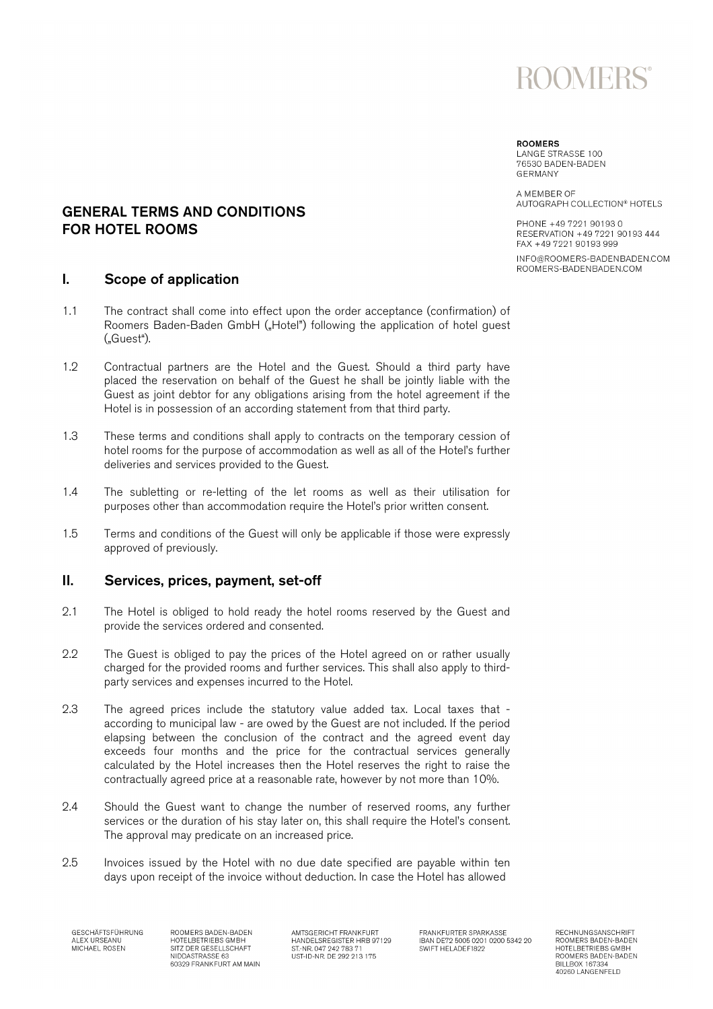

## **POOMEDS**

LANGE STRASSE 100 76530 BADEN-BADEN GERMANY

A MEMBER OF AUTOGRAPH COLLECTION® HOTELS

PHONE +49 7221 90193 0 RESERVATION +49 7221 90193 444 FAX +49 7221 90193 999

INFO@ROOMERS-BADENBADEN.COM ROOMERS-BADENBADEN.COM

### GENERAL TERMS AND CONDITIONS FOR HOTEL ROOMS

### I. Scope of application

- 1.1 The contract shall come into effect upon the order acceptance (confirmation) of Roomers Baden-Baden GmbH ("Hotel") following the application of hotel guest ("Guest").
- 1.2 Contractual partners are the Hotel and the Guest. Should a third party have placed the reservation on behalf of the Guest he shall be jointly liable with the Guest as joint debtor for any obligations arising from the hotel agreement if the Hotel is in possession of an according statement from that third party.
- 1.3 These terms and conditions shall apply to contracts on the temporary cession of hotel rooms for the purpose of accommodation as well as all of the Hotel's further deliveries and services provided to the Guest.
- 1.4 The subletting or re-letting of the let rooms as well as their utilisation for purposes other than accommodation require the Hotel's prior written consent.
- 1.5 Terms and conditions of the Guest will only be applicable if those were expressly approved of previously.

### II. Services, prices, payment, set-off

- 2.1 The Hotel is obliged to hold ready the hotel rooms reserved by the Guest and provide the services ordered and consented.
- 2.2 The Guest is obliged to pay the prices of the Hotel agreed on or rather usually charged for the provided rooms and further services. This shall also apply to thirdparty services and expenses incurred to the Hotel.
- 2.3 The agreed prices include the statutory value added tax. Local taxes that according to municipal law - are owed by the Guest are not included. If the period elapsing between the conclusion of the contract and the agreed event day exceeds four months and the price for the contractual services generally calculated by the Hotel increases then the Hotel reserves the right to raise the contractually agreed price at a reasonable rate, however by not more than 10%.
- 2.4 Should the Guest want to change the number of reserved rooms, any further services or the duration of his stay later on, this shall require the Hotel's consent. The approval may predicate on an increased price.
- 2.5 Invoices issued by the Hotel with no due date specified are payable within ten days upon receipt of the invoice without deduction. In case the Hotel has allowed

GESCHÄFTSFÜHRUNG ALEX URSEANU

ROOMERS BADEN-BADEN HOTELBETRIEBS GMBH SITZ DER GESELLSCHAFT<br>NIDDASTRASSE 63 60329 FRANKFURT AM MAIN

AMTSGERICHT FRANKFURT HANDELSREGISTER HRB 97129<br>ST.-NR. 047 242 783 71<br>UST-ID-NR. DE 292 213 175 FRANKFURTER SPARKASSE IBAN DE72 5005 0201 0200 5342 20 SWIFT HELADEF1822

RECHNUNGSANSCHRIFT ROOMERS BADEN-BADEN HOTELBETRIEBS GMBH ROOMERS BADEN-BADEN **BILLBOX 167334** 40260 LANGENFELD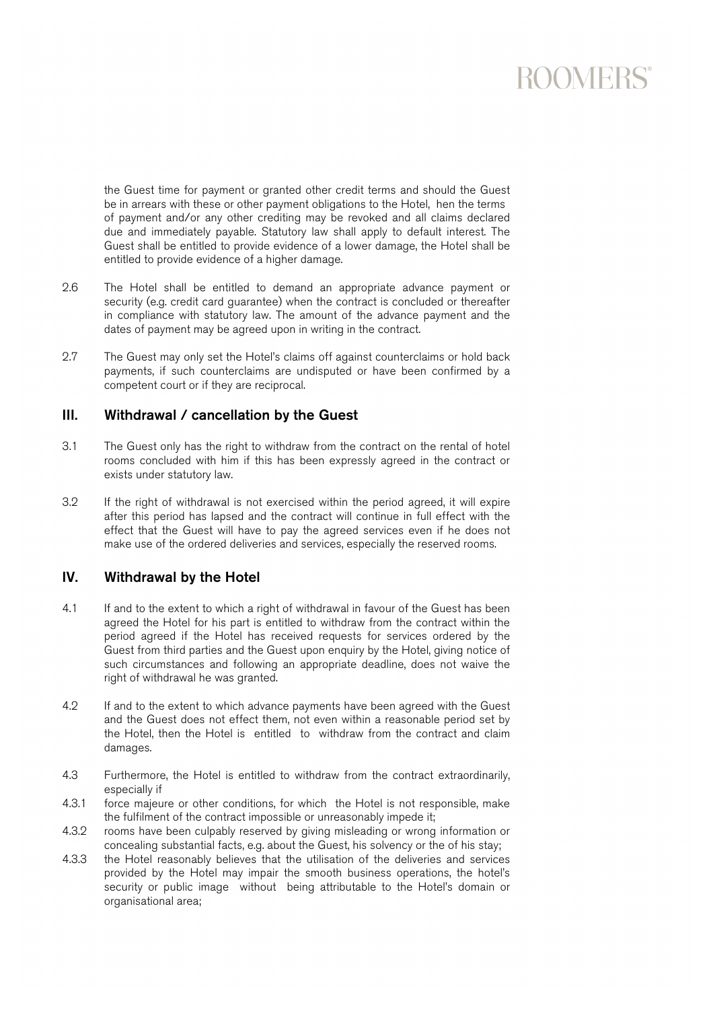# **ROOMERS®**

the Guest time for payment or granted other credit terms and should the Guest be in arrears with these or other payment obligations to the Hotel, hen the terms of payment and/or any other crediting may be revoked and all claims declared due and immediately payable. Statutory law shall apply to default interest. The Guest shall be entitled to provide evidence of a lower damage, the Hotel shall be entitled to provide evidence of a higher damage.

- 2.6 The Hotel shall be entitled to demand an appropriate advance payment or security (e.g. credit card guarantee) when the contract is concluded or thereafter in compliance with statutory law. The amount of the advance payment and the dates of payment may be agreed upon in writing in the contract.
- 2.7 The Guest may only set the Hotel's claims off against counterclaims or hold back payments, if such counterclaims are undisputed or have been confirmed by a competent court or if they are reciprocal.

### III. Withdrawal / cancellation by the Guest

- 3.1 The Guest only has the right to withdraw from the contract on the rental of hotel rooms concluded with him if this has been expressly agreed in the contract or exists under statutory law.
- 3.2 If the right of withdrawal is not exercised within the period agreed, it will expire after this period has lapsed and the contract will continue in full effect with the effect that the Guest will have to pay the agreed services even if he does not make use of the ordered deliveries and services, especially the reserved rooms.

### IV. Withdrawal by the Hotel

- 4.1 If and to the extent to which a right of withdrawal in favour of the Guest has been agreed the Hotel for his part is entitled to withdraw from the contract within the period agreed if the Hotel has received requests for services ordered by the Guest from third parties and the Guest upon enquiry by the Hotel, giving notice of such circumstances and following an appropriate deadline, does not waive the right of withdrawal he was granted.
- 4.2 If and to the extent to which advance payments have been agreed with the Guest and the Guest does not effect them, not even within a reasonable period set by the Hotel, then the Hotel is entitled to withdraw from the contract and claim damages.
- 4.3 Furthermore, the Hotel is entitled to withdraw from the contract extraordinarily, especially if
- 4.3.1 force majeure or other conditions, for which the Hotel is not responsible, make the fulfilment of the contract impossible or unreasonably impede it;
- 4.3.2 rooms have been culpably reserved by giving misleading or wrong information or concealing substantial facts, e.g. about the Guest, his solvency or the of his stay;
- 4.3.3 the Hotel reasonably believes that the utilisation of the deliveries and services provided by the Hotel may impair the smooth business operations, the hotel's security or public image without being attributable to the Hotel's domain or organisational area;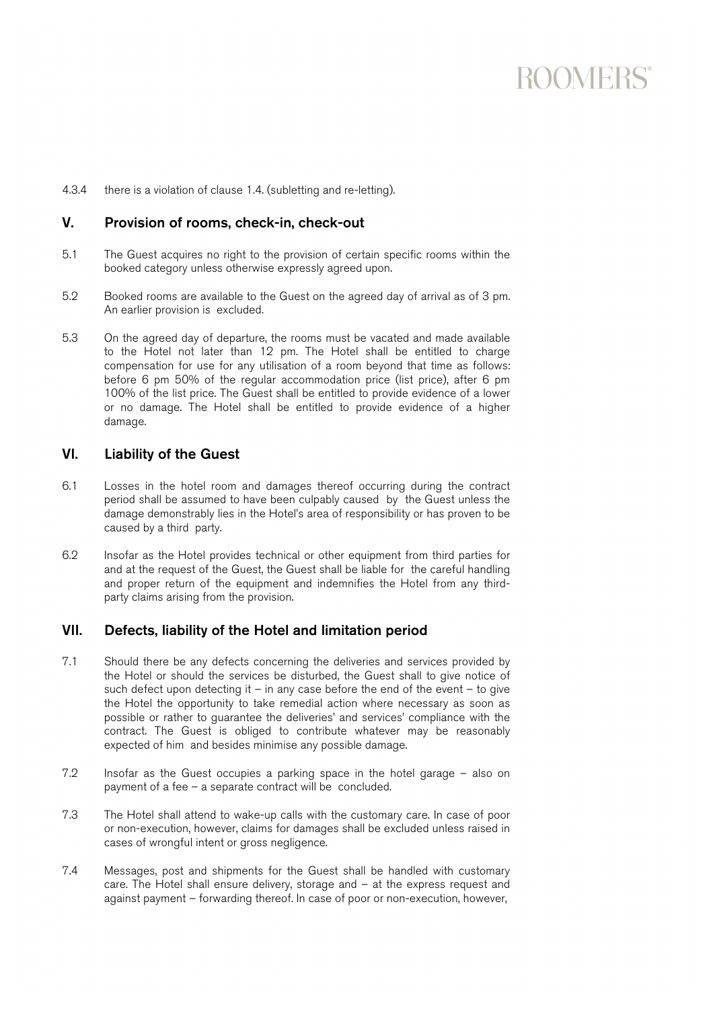## **ROOMERS®**

4.3.4 there is a violation of clause 1.4. (subletting and re-letting).

### V. Provision of rooms, check-in, check-out

- 5.1 The Guest acquires no right to the provision of certain specific rooms within the booked category unless otherwise expressly agreed upon.
- 5.2 Booked rooms are available to the Guest on the agreed day of arrival as of 3 pm. An earlier provision is excluded.
- 5.3 On the agreed day of departure, the rooms must be vacated and made available to the Hotel not later than 12 pm. The Hotel shall be entitled to charge compensation for use for any utilisation of a room beyond that time as follows: before 6 pm 50% of the regular accommodation price (list price), after 6 pm 100% of the list price. The Guest shall be entitled to provide evidence of a lower or no damage. The Hotel shall be entitled to provide evidence of a higher damage.

### VI. Liability of the Guest

- 6.1 Losses in the hotel room and damages thereof occurring during the contract period shall be assumed to have been culpably caused by the Guest unless the damage demonstrably lies in the Hotel's area of responsibility or has proven to be caused by a third party.
- 6.2 Insofar as the Hotel provides technical or other equipment from third parties for and at the request of the Guest, the Guest shall be liable for the careful handling and proper return of the equipment and indemnifies the Hotel from any thirdparty claims arising from the provision.

### VII. Defects, liability of the Hotel and limitation period

- 7.1 Should there be any defects concerning the deliveries and services provided by the Hotel or should the services be disturbed, the Guest shall to give notice of such defect upon detecting it – in any case before the end of the event – to give the Hotel the opportunity to take remedial action where necessary as soon as possible or rather to guarantee the deliveries' and services' compliance with the contract. The Guest is obliged to contribute whatever may be reasonably expected of him and besides minimise any possible damage.
- 7.2 Insofar as the Guest occupies a parking space in the hotel garage also on payment of a fee – a separate contract will be concluded.
- 7.3 The Hotel shall attend to wake-up calls with the customary care. In case of poor or non-execution, however, claims for damages shall be excluded unless raised in cases of wrongful intent or gross negligence.
- 7.4 Messages, post and shipments for the Guest shall be handled with customary care. The Hotel shall ensure delivery, storage and – at the express request and against payment – forwarding thereof. In case of poor or non-execution, however,